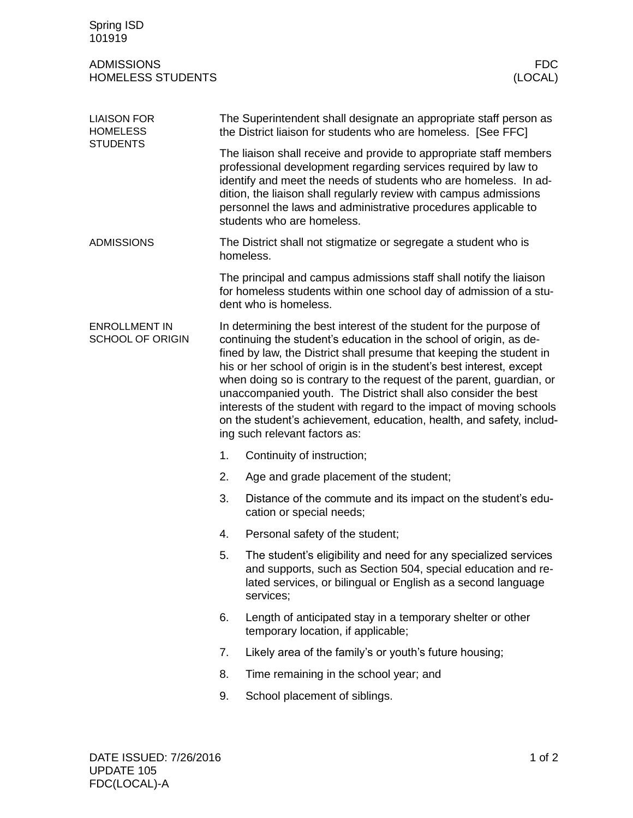| Spring ISD<br>101919                                     |                                                                                                                                                                                                                                                                                                                                                                                                                                                                                                                                                                                                                      |                                                                                                                                                                                                                                                                                                                                                                               |  |
|----------------------------------------------------------|----------------------------------------------------------------------------------------------------------------------------------------------------------------------------------------------------------------------------------------------------------------------------------------------------------------------------------------------------------------------------------------------------------------------------------------------------------------------------------------------------------------------------------------------------------------------------------------------------------------------|-------------------------------------------------------------------------------------------------------------------------------------------------------------------------------------------------------------------------------------------------------------------------------------------------------------------------------------------------------------------------------|--|
| <b>ADMISSIONS</b><br><b>HOMELESS STUDENTS</b>            |                                                                                                                                                                                                                                                                                                                                                                                                                                                                                                                                                                                                                      | <b>FDC</b><br>(LOCAL)                                                                                                                                                                                                                                                                                                                                                         |  |
| <b>LIAISON FOR</b><br><b>HOMELESS</b><br><b>STUDENTS</b> |                                                                                                                                                                                                                                                                                                                                                                                                                                                                                                                                                                                                                      | The Superintendent shall designate an appropriate staff person as<br>the District liaison for students who are homeless. [See FFC]                                                                                                                                                                                                                                            |  |
|                                                          |                                                                                                                                                                                                                                                                                                                                                                                                                                                                                                                                                                                                                      | The liaison shall receive and provide to appropriate staff members<br>professional development regarding services required by law to<br>identify and meet the needs of students who are homeless. In ad-<br>dition, the liaison shall regularly review with campus admissions<br>personnel the laws and administrative procedures applicable to<br>students who are homeless. |  |
| <b>ADMISSIONS</b>                                        |                                                                                                                                                                                                                                                                                                                                                                                                                                                                                                                                                                                                                      | The District shall not stigmatize or segregate a student who is<br>homeless.                                                                                                                                                                                                                                                                                                  |  |
|                                                          |                                                                                                                                                                                                                                                                                                                                                                                                                                                                                                                                                                                                                      | The principal and campus admissions staff shall notify the liaison<br>for homeless students within one school day of admission of a stu-<br>dent who is homeless.                                                                                                                                                                                                             |  |
| <b>ENROLLMENT IN</b><br><b>SCHOOL OF ORIGIN</b>          | In determining the best interest of the student for the purpose of<br>continuing the student's education in the school of origin, as de-<br>fined by law, the District shall presume that keeping the student in<br>his or her school of origin is in the student's best interest, except<br>when doing so is contrary to the request of the parent, guardian, or<br>unaccompanied youth. The District shall also consider the best<br>interests of the student with regard to the impact of moving schools<br>on the student's achievement, education, health, and safety, includ-<br>ing such relevant factors as: |                                                                                                                                                                                                                                                                                                                                                                               |  |
|                                                          | 1.                                                                                                                                                                                                                                                                                                                                                                                                                                                                                                                                                                                                                   | Continuity of instruction;                                                                                                                                                                                                                                                                                                                                                    |  |
|                                                          | 2.                                                                                                                                                                                                                                                                                                                                                                                                                                                                                                                                                                                                                   | Age and grade placement of the student;                                                                                                                                                                                                                                                                                                                                       |  |
|                                                          | 3.                                                                                                                                                                                                                                                                                                                                                                                                                                                                                                                                                                                                                   | Distance of the commute and its impact on the student's edu-<br>cation or special needs;                                                                                                                                                                                                                                                                                      |  |
|                                                          | 4.                                                                                                                                                                                                                                                                                                                                                                                                                                                                                                                                                                                                                   | Personal safety of the student;                                                                                                                                                                                                                                                                                                                                               |  |
|                                                          | 5.                                                                                                                                                                                                                                                                                                                                                                                                                                                                                                                                                                                                                   | The student's eligibility and need for any specialized services<br>and supports, such as Section 504, special education and re-<br>lated services, or bilingual or English as a second language<br>services;                                                                                                                                                                  |  |
|                                                          | 6.                                                                                                                                                                                                                                                                                                                                                                                                                                                                                                                                                                                                                   | Length of anticipated stay in a temporary shelter or other<br>temporary location, if applicable;                                                                                                                                                                                                                                                                              |  |
|                                                          | 7.                                                                                                                                                                                                                                                                                                                                                                                                                                                                                                                                                                                                                   | Likely area of the family's or youth's future housing;                                                                                                                                                                                                                                                                                                                        |  |
|                                                          | 8.                                                                                                                                                                                                                                                                                                                                                                                                                                                                                                                                                                                                                   | Time remaining in the school year; and                                                                                                                                                                                                                                                                                                                                        |  |
|                                                          | 9.                                                                                                                                                                                                                                                                                                                                                                                                                                                                                                                                                                                                                   | School placement of siblings.                                                                                                                                                                                                                                                                                                                                                 |  |